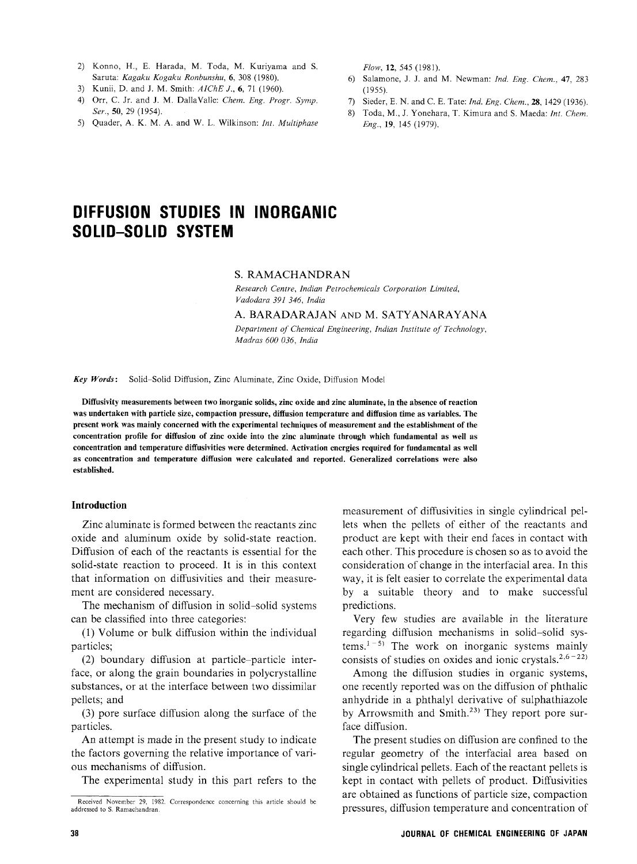- 2) Konno, H., E. Harada, M. Toda, M. Kuriyama and S. Saruta: Kagaku Kogaku Ronbunshu, 6, 308 (1980).
- Saruta: Engine Engine Entertain, 6, 308 (1980).<br>
Kunii, D. and J. M. Smith: AIChE J., 6, 71 (1960).
- 4) Orr, C. Jr. and J. M. DallaValle: Chem. Eng. Progr. Symp. Ser., 50, 29 (1954).
- 5) Quader, A. K. M. A. and W. L. Wilkinson: Int. Multiphase

 $F(100, 14, 57)$ 

- Salamone, J. J. and M. Newman: Ind. Eng. Chem., 47, 283 (1955).
- $S^2$  sieder, E. N. and C. E. Tate: Ind. Eng. Chem., 28, 1429 (1936).
- $T_{\text{total}}$ ,  $m_i$ ,  $j$ . Tonehara, T. Kimura and S. Maeda. Int. Chem. Eng., 19, <sup>145</sup> (1979).

# DIFFUSION STUDIES IN INORGAN<br>Aalim Aalim Aliammin SOLID-SOLID SYSTEM

S. RAMACHANDRAN<br>Research Centre, Indian Petrochemicals Corporation Limited. Vadodara 391 346, India Vadodara 391 346, India

A. BARADARAJAN AND M. SATYANARAYANA<br>Department of Chemical Engineering, Indian Institute of Technology,

 $Madras\ 600\ 036, India$ 

Key Words: Solid-Solid Diffusion, Zinc Aluminate, Zinc Oxide, Diffusion Model

Diffusivity measurements between two inorganic solids, zinc oxide and zinc aluminate, in the absence of reaction present work was mainly concerned with the experimental techniques of measurement and the establishment of the concentration profile for diffusion of zinc oxide into the zinc aluminate through which fundamental as well as concentration and temperature diffusivities were determined. Activation energies required for fundamental as well as concentration and temperature diffusion were calculated and reported. Generalized correlations were also established.

### Introduction

Zinc aluminate is formed between the reactants zinc Diffusion of each of the reactants is essential for the solid-state reaction to proceed. It is in this context that information on diffusivities and their measurement are considered necessary.

The mechanism of diffusion in solid-solid systems can be classified into three categories:

 $\epsilon$  (1) Velves on be leading into the categories:  $(1)$  volume or bulk diffusion within the individual  $(1)$ particles;<br>(2) boundary diffusion at particle-particle inter-

face, or along the grain boundaries in polycrystalline substances, or at the interface between two dissimilar pellets; and  $\mathbf{r}$  and  $\mathbf{r}$  and  $\mathbf{r}$ 

(3) pore surface diffusion along the surface of the particles.<br>An attempt is made in the present study to indicate

the factors governing the relative importance of various mechanisms of diffusion.

 $\Gamma$ he experimentel study. The experimental study in this part refers to the measurement of diffusivities in single cylindrical pellets when the pellets of either of the reactants and product are kept with their end faces in contact with each other. This procedure is chosen so as to avoid the consideration of change in the interfacial area. In this way, it is felt easier to correlate the experimental data by a suitable theory and to make successful predictions.

Very few studies are available in the literature regarding diffusion mechanisms in solid-solid systems.<sup>1-5)</sup> The work on inorganic systems mainly consists of studies on oxides and ionic crystals.<sup>2,6-22)</sup>

consists of studies on oxides and ionic crystals. Among the diffusion studies in organic system anhydride in a phthalyl derivative of sulphathiazole by Arrowsmith and Smith.<sup>23)</sup> They report pore surface diffusion.

The present studies on diffusion are confined to the regular geometry of the interfacial area based on single cylindrical pellets. Each of the reactant pellets is kept in contact with pellets of product. Diffusivities are obtained as functions of particle size, compaction pressures, diffusion temperature and concentration of pressures, diffusion temperature and concentration of

Received November 29, 1982. Correspondence concerning this article should be addressed to S. Ramachandran.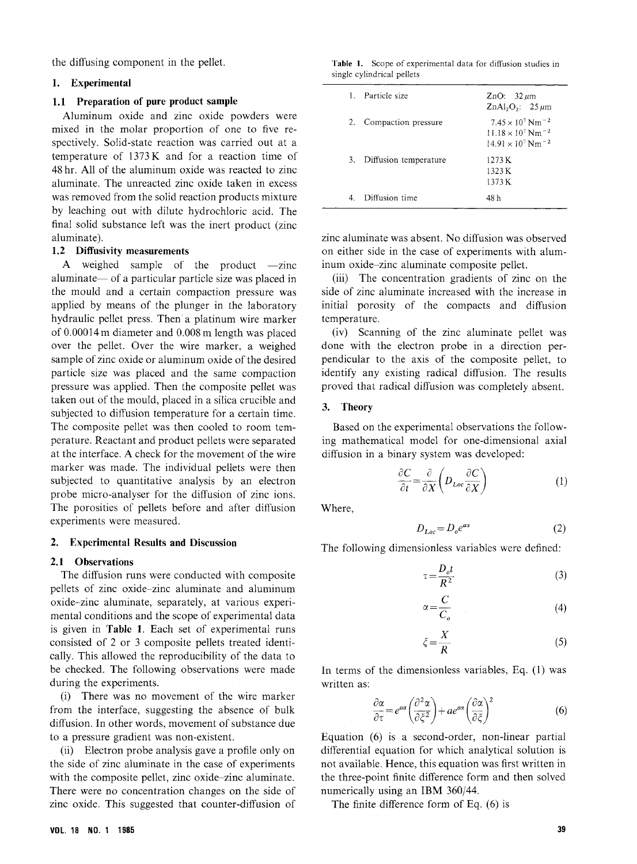$\mathcal{Q}$  in the periodic in the pellet.

### 1. Experimental

### 1.1 Preparation of pure product sample

1.1 Preparation of pure product sample Aluminum oxide and zinc oxide powders were mixed in the molar proportion of one to five respectively. Solid-state reaction was carried out at a temperature of  $1373K$  and for a reaction time of 48 hr. All of the aluminum oxide was reacted to zinc aluminate. The unreacted zinc oxide taken in excess was removed from the solid reaction products mixture was removed from the solid removed products mixture by leaching out with dilute hydrochloric acid. The followinate substance left was the intertaint substance left was the intertainment of  $\frac{1}{2}$ .

1.2 A weighed sample of the product -zinc the mould and a certain compaction pressure was applied by means of the plunger in the laboratory hydraulic pellet press. Then a platinum wire marker of  $0.00014$  m diameter and  $0.008$  m length was placed of 0.00014m diameter and 0.008m length was placed over the pellet. Over the wire marker, a weighed sample of zinc of its organismum of the desired particle size was placed and the same compaction pressure was applied. Then the composite pellet was taken out of the mould, placed in a silica crucible and subjected to diffusion temperature for a certain time. The composite pellet was then cooled to room temperature. Reactant and product pellets were separated at the interface. A check for the movement of the wire marker was made. The individual pellets were then subjected to quantitative analysis by an electron probe micro-analyser for the diffusion of zinc ions. problemant many correct the diffusion of  $z$ The porosities of penets before and after diffusion experiments were measured.

### 2. Experimental Results and Discussion

2.1 Observations<br>The diffusion runs were conducted with composite The diffusion runs were conducted with composite pellets of zinc oxide-zinc aluminate and aluminum oxide-zinc aluminate, separately, at various experimental conditions are the scope of experimental data is given in Table 1. Each set of experimental runs consisted of 2 or 3 composite pellets treated identically. This allowed the reproducibility of the data to be checked. The following observations were made during the experiments.<br>(i) There was no movement of the wire marker

 $\frac{1}{x}$  There was no movement of the wire marker from the interface, suggesting the absence of bulk diffusion. In other words, movement of substance due<br>to a pressure gradient was non-existent.

(ii) Electron probe analysis gave a profile only on the side of zinc aluminate in the case of experiments with the composite pellet, zinc oxide-zinc aluminate. There were no concentration changes on the side of There were no concentration enanges on the side of zinc oxide. This suggested that counter-diffusion of

### Table 1. Scope of experimental data for diffusion studies in single cylindrical pellets

| 1 Particle size          | ZnO: $32 \mu m$<br>ZnAl <sub>2</sub> O <sub>2</sub> : $25 \mu m$                                                               |
|--------------------------|--------------------------------------------------------------------------------------------------------------------------------|
| 2. Compaction pressure   | $7.45 \times 10^7$ Nm <sup>-2</sup><br>11.18 $\times$ 10 <sup>7</sup> Nm <sup>-2</sup><br>$14.91 \times 10^7$ Nm <sup>-2</sup> |
| 3. Diffusion temperature | 1273 K<br>1323K<br>1373K                                                                                                       |
| Diffusion time           | 48 h                                                                                                                           |

zinc aluminate was absent. No diffusion was observed inum oxide-zinc aluminate composite pellet.

 $\lim_{t \to \infty}$ . The concentration and in the  $\epsilon$   $\vec{r}$ (iii) The concentration gradients of zinc on the initial porosity of the compacts and diffusion temperature.

(iv) Scanning of the zinc aluminate pellet was done with the electron probe in a direction perpendicular to the axis of the composite pellet, to identify any existing radical diffusion. The results proved that radical diffusion was completely absent.

### 3. Theory

Based on the experimental observations the follow-<br>ing mathematical model for one-dimensional axial diffusion in a binary system was developed:  $\frac{d}{dx}$ 

$$
\frac{\partial C}{\partial t} = \frac{\partial}{\partial X} \left( D_{Loc} \frac{\partial C}{\partial X} \right) \tag{1}
$$

Where,

$$
D_{Loc} = D_o e^{ax} \tag{2}
$$

The following dimensionless variables were defined:

 $\alpha$ 

$$
\tau = \frac{D_o t}{R^2} \tag{3}
$$

$$
=\frac{C}{C_o}
$$
 (4)

$$
\xi = \frac{X}{R} \tag{5}
$$

In terms of the dimensionless variables, Eq. (1) was written as:

$$
\frac{\partial \alpha}{\partial \tau} = e^{a\alpha} \left( \frac{\partial^2 \alpha}{\partial \xi^2} \right) + a e^{a\alpha} \left( \frac{\partial \alpha}{\partial \xi} \right)^2 \tag{6}
$$

Equation (6) is a second-order, non-linear partial not available. Hence, this equation was first written in the three-point finite difference form and then solved numerically using an IBM  $360/44$ .

The finite difference form of Eq.  $(6)$  is  $T \times \mathcal{E}$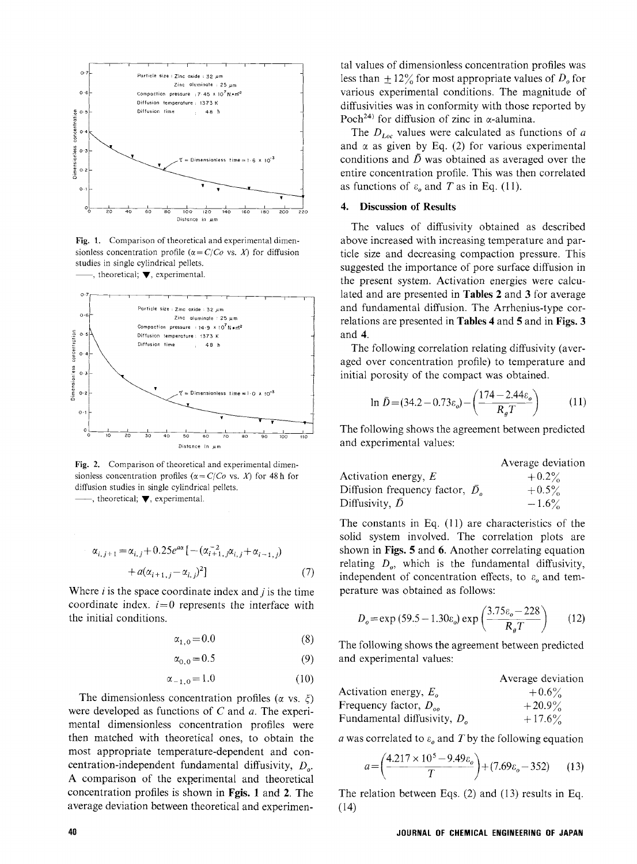

Fig. 1. Comparison of theoretical and experimental dimensionless concentration profile ( $\alpha = C/C\sigma$  vs. X) for diffusion studies in single cylindrical pellets. , theoretical;  $\nabla$ , experimental.



Fig. 2. Comparison of theoretical and experimental dimensionless concentration profiles ( $\alpha = C/C\sigma$  vs. X) for 48 h for diffusion studies in single cylindrical pellets.  $-$ , theoretical;  $\nabla$ , experimental.

$$
\alpha_{i,j+1} = \alpha_{i,j} + 0.25e^{a\alpha} [-(\alpha_{i+1,j}^{-2}\alpha_{i,j} + \alpha_{i-1,j}) + a(\alpha_{i+1,j} - \alpha_{i,j})^2]
$$
(7)

coordinate  $\lim_{n \to \infty}$  is  $\frac{1}{n}$  represente the interface with coordinate index.  $i = 0$  represents the interface with the initial conditions.

$$
\alpha_{1,0} = 0.0\tag{8}
$$

$$
\alpha_{0,0} = 0.5 \tag{9}
$$

$$
\alpha_{-1,0} = 1.0 \tag{10}
$$

The dimensionless concentration profiles ( $\alpha$  vs.  $\xi$ ) were developed as functions of  $C$  and  $a$ . The experi- $\frac{1}{1}$  mental dimensionless concentration profiles were mental dimensionless concentration profiles were then matched with theoretical ones, to obtain the most appropriate temperature-dependent and concentration-independent fundamental diffusivity,  $D_{\alpha}$ . A comparison of the experimental and theoretical concentration profiles is shown in Fgis. 1 and 2. The average deviation between theoretical and experimenaverage deviation between the  $\mathcal{L}_{\text{max}}$ 

tal values of dimensionless concentration profiles was<br>less than  $\pm 12\%$  for most appropriate values of  $D_0$  for various experimental conditions. The magnitude of diffusivities was in conformity with those reported by Poch<sup>24)</sup> for diffusion of zinc in  $\alpha$ -alumina.

The  $D_{Loc}$  values were calculated as functions of a and  $\alpha$  as given by Eq. (2) for various experimental conditions and  $\bar{D}$  was obtained as averaged over the entire concentration profile. This was then correlated entire concentration profile. This was then correlated as functions of  $\sigma_0$  and T as in Eq. (1).

## 4. Discussion of Results

The values of diffusivity obtained as described above increased with increasing temperature and par- $\frac{a}{b}$  increasing compaction pressure This ticle size and decreasing compaction pressure. This  $\frac{1}{2}$  the present system Activation energies were calculated the present system. Activation energies were calcuand fundamental diffusion. The Arrhenius-type correlations are presented in Tables 4 and 5 and in Figs. 3  $r = \frac{1}{\sqrt{2\pi}}$  and  $\frac{1}{\sqrt{2\pi}}$  and  $\frac{1}{\sqrt{2\pi}}$  and  $\frac{1}{\sqrt{2\pi}}$  and  $\frac{1}{\sqrt{2\pi}}$  and  $\frac{1}{\sqrt{2\pi}}$  and  $\frac{1}{\sqrt{2\pi}}$  and  $\frac{1}{\sqrt{2\pi}}$  and  $\frac{1}{\sqrt{2\pi}}$  and  $\frac{1}{\sqrt{2\pi}}$  and  $\frac{1}{\sqrt{2\pi}}$  and  $\frac{1}{\sqrt{2$ and 4.<br>The following correlation relating diffusivity (aver-

aged over concentration profile) to temperature and initial porosity of the compact was obtained.

$$
\ln \bar{D} = (34.2 - 0.73 \varepsilon_o) - \left(\frac{174 - 2.44 \varepsilon_o}{R_g T}\right) \tag{11}
$$

The following shows the agreement between predicted and experimental values: and experimental values:

|                                           | Average deviation |
|-------------------------------------------|-------------------|
| Activation energy, $E$                    | $+0.2\%$          |
| Diffusion frequency factor, $\bar{D}_{o}$ | $+0.5\%$          |
| Diffusivity, $D$                          | $-1.6\%$          |

The constants in Eq.  $(11)$  are characteristics of the solid system involved. The correlation plots are relating  $D_{\rho}$ , which is the fundamental diffusivity independent of concentration effects, to  $\varepsilon_o$  and tem-<br>perature was obtained as follows:

$$
D_o = \exp(59.5 - 1.30\varepsilon_o) \exp\left(\frac{3.75\varepsilon_o - 228}{R_g T}\right) \tag{12}
$$

and experimental values:  $\mathbf{a}$ 

|                                | Average deviatio |
|--------------------------------|------------------|
| Activation energy, $E_a$       | $+0.6\%$         |
| Frequency factor, $D_{oo}$     | $+20.9\%$        |
| Fundamental diffusivity, $D_a$ | $+17.6\%$        |
|                                |                  |

a was correlated to  $\varepsilon_0$  and T by the following equation

$$
a = \left(\frac{4.217 \times 10^5 - 9.49 \varepsilon_o}{T}\right) + (7.69 \varepsilon_o - 352) \tag{13}
$$

 $T_{\rm 1.4}$  and  $T_{\rm 2.4}$  results in Eqs. (2) results in Eqs. (2) results in Eqs. (2) results in Eqs. (2) results in Eqs. (2) results in Eqs. (2) results in Eqs. (2) results in Eqs. (2) results in Eqs. (2) results in Eq (14)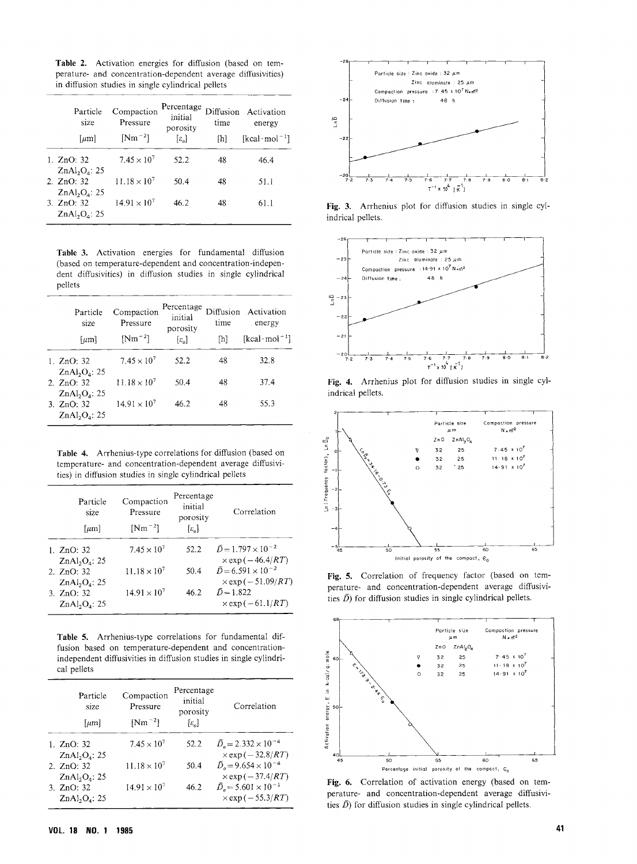Table 2. Activation energies for diffusion (based on temperature- and concentration-dependent average diffusivities)

| Particle<br>size                                      | Compaction<br>Pressure         | Percentage<br>initial<br>porosity | time | Diffusion Activation<br>energy                    |
|-------------------------------------------------------|--------------------------------|-----------------------------------|------|---------------------------------------------------|
| $\lceil \mu m \rceil$                                 | $[Nm^{-2}]$                    | $[\varepsilon_{\alpha}]$          | [h]  | $\lceil \text{kcal} \cdot \text{mol}^{-1} \rceil$ |
| 1. ZnO: 32<br>$ZnAl_2O_4$ : 25                        | $7.45 \times 10^{7}$           | 52.2                              | 48   | 46.4                                              |
| 2. $ZnO: 32$<br>ZnAl <sub>2</sub> O <sub>4</sub> : 25 | 11.18 $\times$ 10 <sup>7</sup> | 50.4                              | 48   | 51.1                                              |
| 3. ZnO: 32<br>$ZnAl_2O_4$ : 25                        | $14.91 \times 10^{7}$          | 46.2                              | 48   | 61.1                                              |

Table 3. Activation energies for fundamental diffusion (based on temperature-dependent and concentration-indepenpellets

| Particle<br>size                 | Compaction<br>Pressure | Percentage<br>initial<br>porosity | Diffusion<br>time | Activation<br>energy                              |
|----------------------------------|------------------------|-----------------------------------|-------------------|---------------------------------------------------|
| $[\mu m]$                        | $[Nm^{-2}]$            | $\lbrack \varepsilon_a \rbrack$   | [h]               | $\lceil \text{kcal} \cdot \text{mol}^{-1} \rceil$ |
| 1. $ZnO: 32$<br>$ZnAl_2O_4$ : 25 | $7.45 \times 10^{7}$   | 52.2                              | 48                | 32.8                                              |
| 2. ZnO: 32<br>$ZnAl_2O_4$ : 25   | $11.18 \times 10^{7}$  | 50.4                              | 48                | 37.4                                              |
| 3. ZnO: 32<br>$ZnAl_2O_4$ : 25   | $14.91 \times 10^{7}$  | 46.2                              | 48                | 55.3                                              |

temperature- and concentration-dependent average diffusivities) in diffusion studies in single cylindrical pellets

| Particle<br>size<br>${\lceil \mu m \rceil}$                             | Compaction<br>Pressure<br>$[Nm^{-2}]$ | Percentage<br>initial<br>porosity<br>$[\varepsilon_{\alpha}]$ | Correlation                                                                                         |
|-------------------------------------------------------------------------|---------------------------------------|---------------------------------------------------------------|-----------------------------------------------------------------------------------------------------|
| 1. $ZnO: 32$                                                            | $7.45 \times 10^{7}$                  | 52.2                                                          | $\bar{D} = 1.797 \times 10^{-2}$                                                                    |
| ZnAl <sub>2</sub> O <sub>4</sub> : 25<br>2. ZnO: 32<br>$ZnAl_2O_4$ : 25 | $11.18 \times 10^{7}$                 | 50.4                                                          | $\times$ exp ( $-46.4/RT$ )<br>$\bar{D}$ = 6.591 × 10 <sup>-2</sup><br>$\times$ exp ( $-51.09/RT$ ) |
| 3. ZnO: 32<br>$ZnAl_2O_4$ : 25                                          | $14.91 \times 10^{7}$                 | 46.2                                                          | $\bar{D} = 1.822$<br>$\times$ exp( $-61.1/RT$ )                                                     |

Table 5. Arrhenius-type correlations for fundamental diffusion based on temperature-dependent and concentrationindependent diffusivities in diffusion studies in single cylindrical pellets

| Particle<br>size<br>$\lceil \mu m \rceil$          | Compaction<br>Pressure<br>$[Nm^{-2}]$ | Percentage<br>initial<br>porosity<br>$[\varepsilon_{\alpha}]$ | Correlation                                                                                            |
|----------------------------------------------------|---------------------------------------|---------------------------------------------------------------|--------------------------------------------------------------------------------------------------------|
| 1. $ZnO: 32$                                       | $7.45 \times 10^{7}$                  | 52.2                                                          | $\bar{D}_{o} = 2.332 \times 10^{-4}$                                                                   |
| $ZnAl_2O_4$ : 25<br>2. $ZnO: 32$                   | $11.18 \times 10^{7}$                 | 50.4                                                          | $\times$ exp ( $-32.8/RT$ )<br>$\bar{D}_{0}$ = 9.654 × 10 <sup>-4</sup><br>$\times$ exp ( $-37.4/RT$ ) |
| $ZnAl_2Oa: 25$<br>3. $ZnO: 32$<br>$ZnAl_2O_4$ . 25 | $14.91 \times 10^{7}$                 | 46.2                                                          | $\bar{D}_{\rm e}$ = 5.601 × 10 <sup>-1</sup><br>$\times$ exp ( $-$ 55.3/ <i>RT</i> )                   |



Fig. 3. Arrhenius plot for diffusion studies in single cylindrical pellets.



Fig. 4. Arrhenius plot for diffusion studies in single cylindrical pellets.



Fig. 5. Correlation of frequency factor (based on temperature- and concentration-dependent average diffusivities  $\bar{D}$ ) for diffusion studies in single cylindrical pellets.



Fig. 6. Correlation of activation energy (based on temperature- and concentration-dependent average diffusivities  $\bar{D}$ ) for diffusion studies in single cylindrical pellets. ties D) for diffusion studies in single cylindrical pellets.